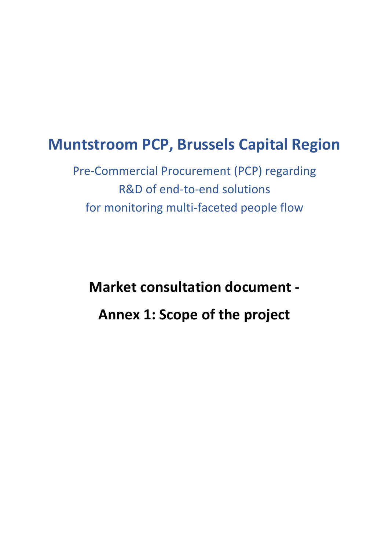# **Muntstroom PCP, Brussels Capital Region**

Pre-Commercial Procurement (PCP) regarding R&D of end-to-end solutions for monitoring multi-faceted people flow

**Market consultation document - Annex 1: Scope of the project**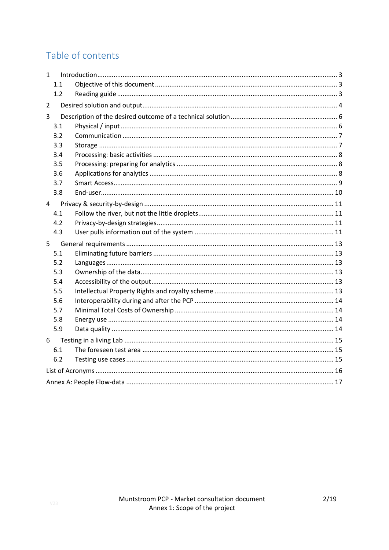# Table of contents

| 1              |     |  |  |  |  |
|----------------|-----|--|--|--|--|
|                | 1.1 |  |  |  |  |
|                | 1.2 |  |  |  |  |
| $\overline{2}$ |     |  |  |  |  |
| 3              |     |  |  |  |  |
|                | 3.1 |  |  |  |  |
|                | 3.2 |  |  |  |  |
|                | 3.3 |  |  |  |  |
|                | 3.4 |  |  |  |  |
|                | 3.5 |  |  |  |  |
|                | 3.6 |  |  |  |  |
|                | 3.7 |  |  |  |  |
|                | 3.8 |  |  |  |  |
| 4              |     |  |  |  |  |
|                | 4.1 |  |  |  |  |
|                | 4.2 |  |  |  |  |
|                | 4.3 |  |  |  |  |
| 5              |     |  |  |  |  |
|                | 5.1 |  |  |  |  |
|                | 5.2 |  |  |  |  |
|                | 5.3 |  |  |  |  |
|                | 5.4 |  |  |  |  |
|                | 5.5 |  |  |  |  |
|                | 5.6 |  |  |  |  |
|                | 5.7 |  |  |  |  |
|                | 5.8 |  |  |  |  |
|                | 5.9 |  |  |  |  |
| 6              |     |  |  |  |  |
|                | 6.1 |  |  |  |  |
|                | 6.2 |  |  |  |  |
|                |     |  |  |  |  |
|                |     |  |  |  |  |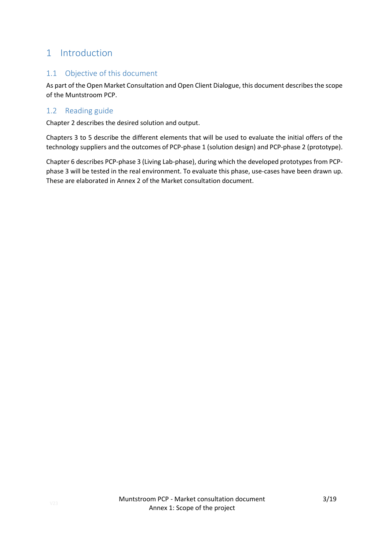## <span id="page-2-0"></span>1 Introduction

### <span id="page-2-1"></span>1.1 Objective of this document

As part of the Open Market Consultation and Open Client Dialogue, this document describes the scope of the Muntstroom PCP.

### <span id="page-2-2"></span>1.2 Reading guide

Chapter 2 describes the desired solution and output.

Chapters 3 to 5 describe the different elements that will be used to evaluate the initial offers of the technology suppliers and the outcomes of PCP-phase 1 (solution design) and PCP-phase 2 (prototype).

Chapter 6 describes PCP-phase 3 (Living Lab-phase), during which the developed prototypes from PCPphase 3 will be tested in the real environment. To evaluate this phase, use-cases have been drawn up. These are elaborated in Annex 2 of the Market consultation document.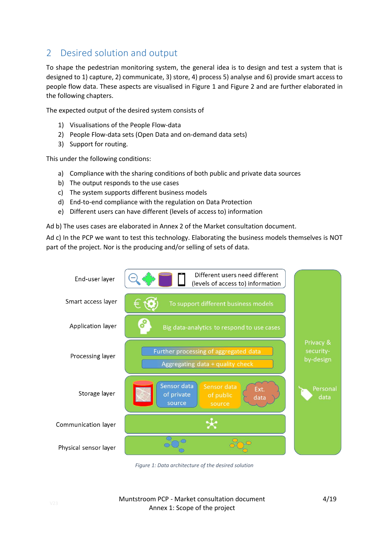# <span id="page-3-0"></span>2 Desired solution and output

To shape the pedestrian monitoring system, the general idea is to design and test a system that is designed to 1) capture, 2) communicate, 3) store, 4) process 5) analyse and 6) provide smart access to people flow data. These aspects are visualised in [Figure 1](#page-3-1) and [Figure 2](#page-4-0) and are further elaborated in the following chapters.

The expected output of the desired system consists of

- 1) Visualisations of the People Flow-data
- 2) People Flow-data sets (Open Data and on-demand data sets)
- 3) Support for routing.

This under the following conditions:

- a) Compliance with the sharing conditions of both public and private data sources
- b) The output responds to the use cases
- c) The system supports different business models
- d) End-to-end compliance with the regulation on Data Protection
- e) Different users can have different (levels of access to) information

Ad b) The uses cases are elaborated in Annex 2 of the Market consultation document.

Ad c) In the PCP we want to test this technology. Elaborating the business models themselves is NOT part of the project. Nor is the producing and/or selling of sets of data.



<span id="page-3-1"></span>*Figure 1: Data architecture of the desired solution*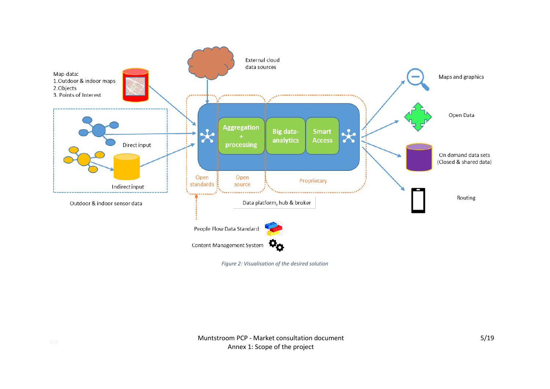

<span id="page-4-0"></span>*Figure 2: Visualisation of the desired solution*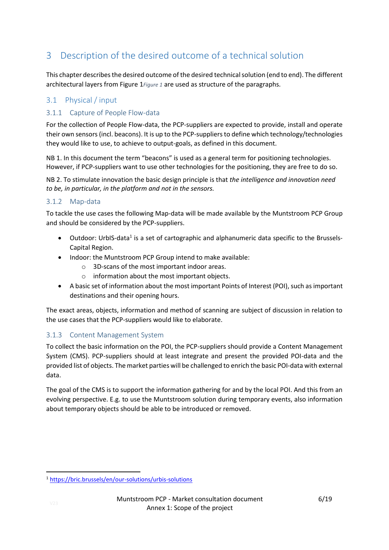# <span id="page-5-0"></span>3 Description of the desired outcome of a technical solution

This chapter describesthe desired outcome of the desired technical solution (end to end). The different architectural layers fro[m Figure 1](#page-3-1)*[Figure 1](#page-3-1)* are used as structure of the paragraphs.

### <span id="page-5-1"></span>3.1 Physical / input

### 3.1.1 Capture of People Flow-data

For the collection of People Flow-data, the PCP-suppliers are expected to provide, install and operate their own sensors(incl. beacons). It is up to the PCP-suppliers to define which technology/technologies they would like to use, to achieve to output-goals, as defined in this document.

NB 1. In this document the term "beacons" is used as a general term for positioning technologies. However, if PCP-suppliers want to use other technologies for the positioning, they are free to do so.

NB 2. To stimulate innovation the basic design principle is that *the intelligence and innovation need to be, in particular, in the platform and not in the sensors.*

#### 3.1.2 Map-data

To tackle the use cases the following Map-data will be made available by the Muntstroom PCP Group and should be considered by the PCP-suppliers.

- Outdoor: UrbIS-data<sup>1</sup> is a set of cartographic and alphanumeric data specific to the Brussels-Capital Region.
- Indoor: the Muntstroom PCP Group intend to make available:
	- o 3D-scans of the most important indoor areas.
	- o information about the most important objects.
- A basic set of information about the most important Points of Interest (POI), such as important destinations and their opening hours.

The exact areas, objects, information and method of scanning are subject of discussion in relation to the use cases that the PCP-suppliers would like to elaborate.

### 3.1.3 Content Management System

To collect the basic information on the POI, the PCP-suppliers should provide a Content Management System (CMS). PCP-suppliers should at least integrate and present the provided POI-data and the provided list of objects. The market parties will be challenged to enrich the basic POI-data with external data.

The goal of the CMS is to support the information gathering for and by the local POI. And this from an evolving perspective. E.g. to use the Muntstroom solution during temporary events, also information about temporary objects should be able to be introduced or removed.

<sup>1</sup> <https://bric.brussels/en/our-solutions/urbis-solutions>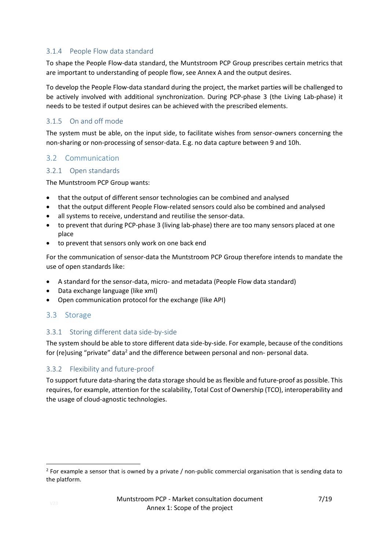#### 3.1.4 People Flow data standard

To shape the People Flow-data standard, the Muntstroom PCP Group prescribes certain metrics that are important to understanding of people flow, see Annex A and the output desires.

To develop the People Flow-data standard during the project, the market parties will be challenged to be actively involved with additional synchronization. During PCP-phase 3 (the Living Lab-phase) it needs to be tested if output desires can be achieved with the prescribed elements.

#### 3.1.5 On and off mode

The system must be able, on the input side, to facilitate wishes from sensor-owners concerning the non-sharing or non-processing of sensor-data. E.g. no data capture between 9 and 10h.

### <span id="page-6-0"></span>3.2 Communication

#### 3.2.1 Open standards

The Muntstroom PCP Group wants:

- that the output of different sensor technologies can be combined and analysed
- that the output different People Flow-related sensors could also be combined and analysed
- all systems to receive, understand and reutilise the sensor-data.
- to prevent that during PCP-phase 3 (living lab-phase) there are too many sensors placed at one place
- to prevent that sensors only work on one back end

For the communication of sensor-data the Muntstroom PCP Group therefore intends to mandate the use of open standards like:

- A standard for the sensor-data, micro- and metadata (People Flow data standard)
- Data exchange language (like xml)
- Open communication protocol for the exchange (like API)

### <span id="page-6-1"></span>3.3 Storage

#### 3.3.1 Storing different data side-by-side

The system should be able to store different data side-by-side. For example, because of the conditions for (re)using "private" data<sup>2</sup> and the difference between personal and non- personal data.

#### 3.3.2 Flexibility and future-proof

To support future data-sharing the data storage should be as flexible and future-proof as possible. This requires, for example, attention for the scalability, Total Cost of Ownership (TCO), interoperability and the usage of cloud-agnostic technologies.

 $2$  For example a sensor that is owned by a private / non-public commercial organisation that is sending data to the platform.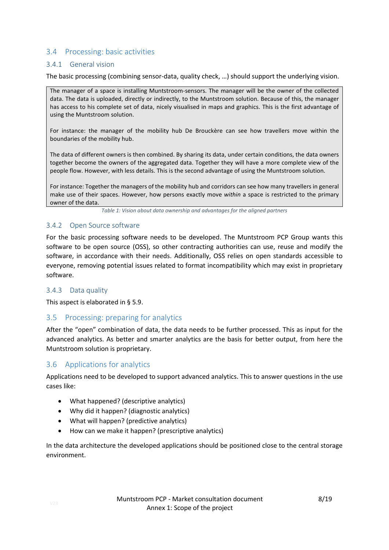#### <span id="page-7-0"></span>3.4 Processing: basic activities

#### 3.4.1 General vision

The basic processing (combining sensor-data, quality check, …) should support the underlying vision.

The manager of a space is installing Muntstroom-sensors. The manager will be the owner of the collected data. The data is uploaded, directly or indirectly, to the Muntstroom solution. Because of this, the manager has access to his complete set of data, nicely visualised in maps and graphics. This is the first advantage of using the Muntstroom solution.

For instance: the manager of the mobility hub De Brouckère can see how travellers move within the boundaries of the mobility hub.

The data of different owners is then combined. By sharing its data, under certain conditions, the data owners together become the owners of the aggregated data. Together they will have a more complete view of the people flow. However, with less details. This is the second advantage of using the Muntstroom solution.

For instance: Together the managers of the mobility hub and corridors can see how many travellers in general make use of their spaces. However, how persons exactly move *within* a space is restricted to the primary owner of the data.

*Table 1: Vision about data ownership and advantages for the aligned partners*

#### 3.4.2 Open Source software

For the basic processing software needs to be developed. The Muntstroom PCP Group wants this software to be open source (OSS), so other contracting authorities can use, reuse and modify the software, in accordance with their needs. Additionally, OSS relies on open standards accessible to everyone, removing potential issues related to format incompatibility which may exist in proprietary software.

#### 3.4.3 Data quality

This aspect is elaborated in § 5.9.

#### <span id="page-7-1"></span>3.5 Processing: preparing for analytics

After the "open" combination of data, the data needs to be further processed. This as input for the advanced analytics. As better and smarter analytics are the basis for better output, from here the Muntstroom solution is proprietary.

#### <span id="page-7-2"></span>3.6 Applications for analytics

Applications need to be developed to support advanced analytics. This to answer questions in the use cases like:

- What happened? (descriptive analytics)
- Why did it happen? (diagnostic analytics)
- What will happen? (predictive analytics)
- How can we make it happen? (prescriptive analytics)

In the data architecture the developed applications should be positioned close to the central storage environment.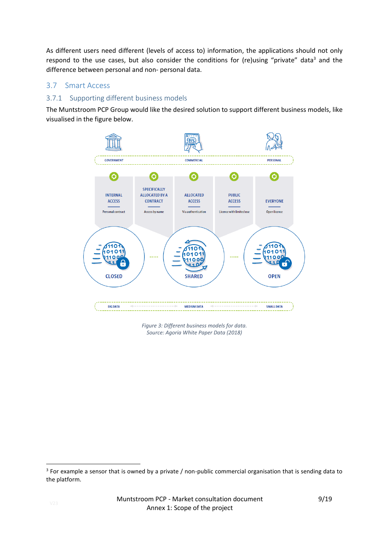As different users need different (levels of access to) information, the applications should not only respond to the use cases, but also consider the conditions for (re)using "private" data<sup>3</sup> and the difference between personal and non- personal data.

### <span id="page-8-0"></span>3.7 Smart Access

#### 3.7.1 Supporting different business models

The Muntstroom PCP Group would like the desired solution to support different business models, like visualised in the figure below.



*Figure 3: Different business models for data. Source: Agoria White Paper Data (2018)*

<sup>&</sup>lt;sup>3</sup> For example a sensor that is owned by a private / non-public commercial organisation that is sending data to the platform.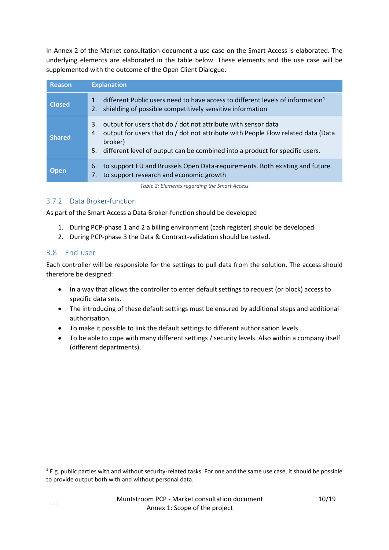In Annex 2 of the Market consultation document a use case on the Smart Access is elaborated. The underlying elements are elaborated in the table below. These elements and the use case will be supplemented with the outcome of the Open Client Dialogue.

| <b>Reason</b> | <b>Explanation</b>                                                                                                                                                                                                                                             |  |  |
|---------------|----------------------------------------------------------------------------------------------------------------------------------------------------------------------------------------------------------------------------------------------------------------|--|--|
| <b>Closed</b> | different Public users need to have access to different levels of information <sup>4</sup><br>shielding of possible competitively sensitive information<br>2.                                                                                                  |  |  |
| <b>Shared</b> | output for users that do / dot not attribute with sensor data<br>3.<br>output for users that do / dot not attribute with People Flow related data (Data<br>4.<br>broker)<br>different level of output can be combined into a product for specific users.<br>5. |  |  |
| <b>Open</b>   | to support EU and Brussels Open Data-requirements. Both existing and future.<br>6.<br>to support research and economic growth<br>7.                                                                                                                            |  |  |

*Table 2: Elements regarding the Smart Access*

### 3.7.2 Data Broker-function

As part of the Smart Access a Data Broker-function should be developed

- 1. During PCP-phase 1 and 2 a billing environment (cash register) should be developed
- 2. During PCP-phase 3 the Data & Contract-validation should be tested.

#### <span id="page-9-0"></span>3.8 End-user

Each controller will be responsible for the settings to pull data from the solution. The access should therefore be designed:

- In a way that allows the controller to enter default settings to request (or block) access to specific data sets.
- The introducing of these default settings must be ensured by additional steps and additional authorisation.
- To make it possible to link the default settings to different authorisation levels.
- To be able to cope with many different settings / security levels. Also within a company itself (different departments).

<sup>4</sup> E.g. public parties with and without security-related tasks. For one and the same use case, it should be possible to provide output both with and without personal data.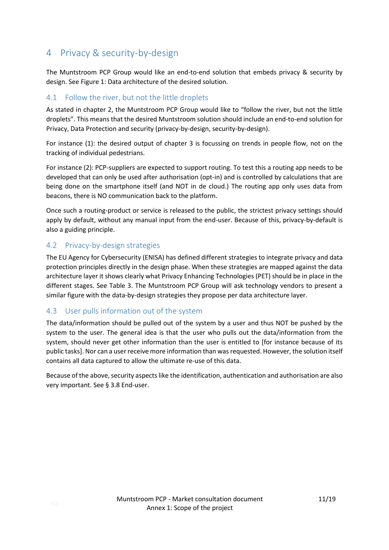# <span id="page-10-0"></span>4 Privacy & security-by-design

The Muntstroom PCP Group would like an end-to-end solution that embeds privacy & security by design. Se[e Figure 1: Data architecture of the desired solution.](#page-3-1)

### <span id="page-10-1"></span>4.1 Follow the river, but not the little droplets

As stated in chapter 2, the Muntstroom PCP Group would like to "follow the river, but not the little droplets". This means that the desired Muntstroom solution should include an end-to-end solution for Privacy, Data Protection and security (privacy-by-design, security-by-design).

For instance (1): the desired output of chapter 3 is focussing on trends in people flow, not on the tracking of individual pedestrians.

For instance (2): PCP-suppliers are expected to support routing. To test this a routing app needs to be developed that can only be used after authorisation (opt-in) and is controlled by calculations that are being done on the smartphone itself (and NOT in de cloud.) The routing app only uses data from beacons, there is NO communication back to the platform.

Once such a routing-product or service is released to the public, the strictest privacy settings should apply by default, without any manual input from the end-user. Because of this, privacy-by-default is also a guiding principle.

### <span id="page-10-2"></span>4.2 Privacy-by-design strategies

The EU Agency for Cybersecurity (ENISA) has defined different strategies to integrate privacy and data protection principles directly in the design phase. When these strategies are mapped against the data architecture layer it shows clearly what Privacy Enhancing Technologies (PET) should be in place in the different stages. See Table 3. The Muntstroom PCP Group will ask technology vendors to present a similar figure with the data-by-design strategies they propose per data architecture layer.

### <span id="page-10-3"></span>4.3 User pulls information out of the system

The data/information should be pulled out of the system by a user and thus NOT be pushed by the system to the user. The general idea is that the user who pulls out the data/information from the system, should never get other information than the user is entitled to [for instance because of its public tasks]. Nor can a user receive more information than was requested. However, the solution itself contains all data captured to allow the ultimate re-use of this data.

Because of the above, security aspects like the identification, authentication and authorisation are also very important. See § [3.8](#page-9-0) End-user.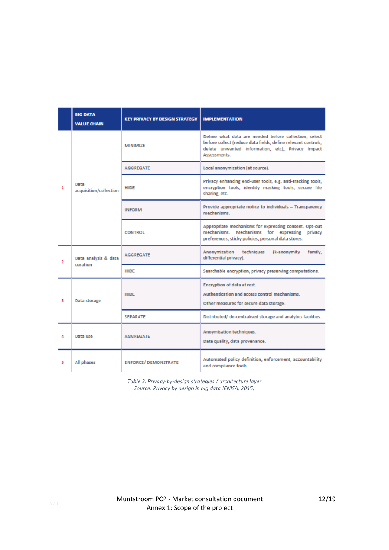|   | <b>BIG DATA</b><br><b>VALUE CHAIN</b> | <b>KEY PRIVACY BY DESIGN STRATEGY</b> | <b>IMPLEMENTATION</b>                                                                                                                                                                       |
|---|---------------------------------------|---------------------------------------|---------------------------------------------------------------------------------------------------------------------------------------------------------------------------------------------|
|   | Data<br>acquisition/collection        | MINIMIZE                              | Define what data are needed before collection, select<br>before collect (reduce data fields, define relevant controls,<br>delete unwanted information, etc), Privacy Impact<br>Assessments. |
|   |                                       | <b>AGGREGATE</b>                      | Local anonymization (at source).                                                                                                                                                            |
| 1 |                                       | HIDE                                  | Privacy enhancing end-user tools, e.g. anti-tracking tools,<br>encryption tools, identity masking tools, secure file<br>sharing, etc.                                                       |
|   |                                       | <b>INFORM</b>                         | Provide appropriate notice to individuals - Transparency<br>mechanisms.                                                                                                                     |
|   |                                       | <b>CONTROL</b>                        | Appropriate mechanisms for expressing consent. Opt-out<br>mechanisms.<br>Mechanisms for expressing<br>privacy<br>preferences, sticky policies, personal data stores.                        |
| 2 | Data analysis & data<br>curation      | <b>AGGREGATE</b>                      | Anonymization<br>techniques<br>(k-anonymity<br>family.<br>differential privacy).                                                                                                            |
|   |                                       | <b>HIDE</b>                           | Searchable encryption, privacy preserving computations.                                                                                                                                     |
| з | Data storage                          | <b>HIDE</b>                           | Encryption of data at rest.<br>Authentication and access control mechanisms.<br>Other measures for secure data storage.                                                                     |
|   |                                       | <b>SEPARATE</b>                       | Distributed/ de-centralised storage and analytics facilities.                                                                                                                               |
| 4 | Data use                              | <b>AGGREGATE</b>                      | Anoymisation techniques.<br>Data quality, data provenance.                                                                                                                                  |
| 5 | All phases                            | <b>ENFORCE/ DEMONSTRATE</b>           | Automated policy definition, enforcement, accountability<br>and compliance tools.                                                                                                           |

*Table 3: Privacy-by-design strategies / architecture layer Source: Privacy by design in big data (ENISA, 2015)*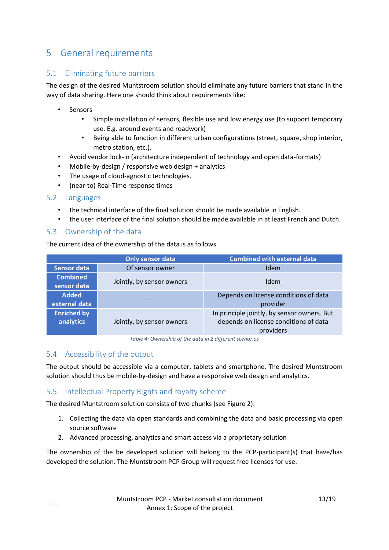# <span id="page-12-0"></span>5 General requirements

### <span id="page-12-1"></span>5.1 Eliminating future barriers

The design of the desired Muntstroom solution should eliminate any future barriers that stand in the way of data sharing. Here one should think about requirements like:

- **Sensors** 
	- Simple installation of sensors, flexible use and low energy use (to support temporary use. E.g. around events and roadwork)
	- Being able to function in different urban configurations (street, square, shop interior, metro station, etc.).
- Avoid vendor lock-in (architecture independent of technology and open data-formats)
- Mobile-by-design / responsive web design + analytics
- The usage of cloud-agnostic technologies.
- (near-to) Real-Time response times

#### <span id="page-12-2"></span>5.2 Languages

- the technical interface of the final solution should be made available in English.
- the user interface of the final solution should be made available in at least French and Dutch.

### <span id="page-12-3"></span>5.3 Ownership of the data

The current idea of the ownership of the data is as follows

|                                 | Only sensor data          | <b>Combined with external data</b>                                                                |
|---------------------------------|---------------------------|---------------------------------------------------------------------------------------------------|
| <b>Sensor data</b>              | Of sensor owner           | Idem                                                                                              |
| <b>Combined</b><br>sensor data  | Jointly, by sensor owners | Idem                                                                                              |
| <b>Added</b><br>external data   | $\overline{\phantom{0}}$  | Depends on license conditions of data<br>provider                                                 |
| <b>Enriched by</b><br>analytics | Jointly, by sensor owners | In principle jointly, by sensor owners. But<br>depends on license conditions of data<br>providers |

*Table 4: Ownership of the data in 2 different scenarios*

### <span id="page-12-4"></span>5.4 Accessibility of the output

The output should be accessible via a computer, tablets and smartphone. The desired Muntstroom solution should thus be mobile-by-design and have a responsive web design and analytics.

### <span id="page-12-5"></span>5.5 Intellectual Property Rights and royalty scheme

The desired Muntstroom solution consists of two chunks (see [Figure 2\)](#page-4-0):

- 1. Collecting the data via open standards and combining the data and basic processing via open source software
- 2. Advanced processing, analytics and smart access via a proprietary solution

The ownership of the be developed solution will belong to the PCP-participant(s) that have/has developed the solution. The Muntstroom PCP Group will request free licenses for use.

13/19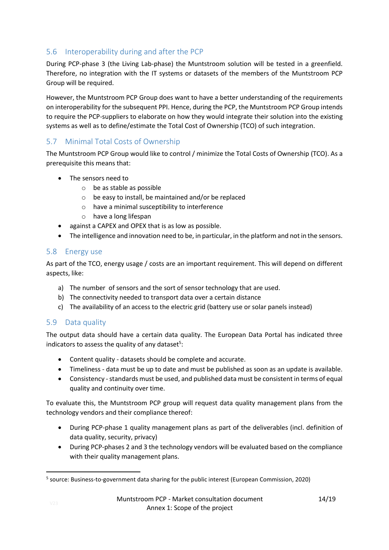### <span id="page-13-0"></span>5.6 Interoperability during and after the PCP

During PCP-phase 3 (the Living Lab-phase) the Muntstroom solution will be tested in a greenfield. Therefore, no integration with the IT systems or datasets of the members of the Muntstroom PCP Group will be required.

However, the Muntstroom PCP Group does want to have a better understanding of the requirements on interoperability for the subsequent PPI. Hence, during the PCP, the Muntstroom PCP Group intends to require the PCP-suppliers to elaborate on how they would integrate their solution into the existing systems as well as to define/estimate the Total Cost of Ownership (TCO) of such integration.

### <span id="page-13-1"></span>5.7 Minimal Total Costs of Ownership

The Muntstroom PCP Group would like to control / minimize the Total Costs of Ownership (TCO). As a prerequisite this means that:

- The sensors need to
	- o be as stable as possible
	- o be easy to install, be maintained and/or be replaced
	- o have a minimal susceptibility to interference
	- o have a long lifespan
- against a CAPEX and OPEX that is as low as possible.
- The intelligence and innovation need to be, in particular, in the platform and not in the sensors.

### <span id="page-13-2"></span>5.8 Energy use

As part of the TCO, energy usage / costs are an important requirement. This will depend on different aspects, like:

- a) The number of sensors and the sort of sensor technology that are used.
- b) The connectivity needed to transport data over a certain distance
- c) The availability of an access to the electric grid (battery use or solar panels instead)

### <span id="page-13-3"></span>5.9 Data quality

The output data should have a certain data quality. The European Data Portal has indicated three indicators to assess the quality of any dataset<sup>5</sup>:

- Content quality datasets should be complete and accurate.
- Timeliness data must be up to date and must be published as soon as an update is available.
- Consistency standards must be used, and published data must be consistent in terms of equal quality and continuity over time.

To evaluate this, the Muntstroom PCP group will request data quality management plans from the technology vendors and their compliance thereof:

- During PCP-phase 1 quality management plans as part of the deliverables (incl. definition of data quality, security, privacy)
- During PCP-phases 2 and 3 the technology vendors will be evaluated based on the compliance with their quality management plans.

<sup>&</sup>lt;sup>5</sup> source: Business-to-government data sharing for the public interest (European Commission, 2020)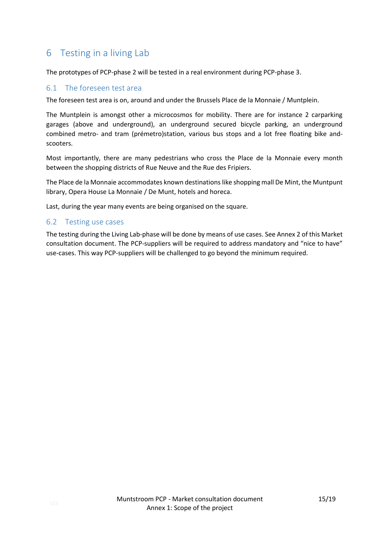# <span id="page-14-0"></span>6 Testing in a living Lab

The prototypes of PCP-phase 2 will be tested in a real environment during PCP-phase 3.

#### <span id="page-14-1"></span>6.1 The foreseen test area

The foreseen test area is on, around and under the Brussels Place de la Monnaie / Muntplein.

The Muntplein is amongst other a microcosmos for mobility. There are for instance 2 carparking garages (above and underground), an underground secured bicycle parking, an underground combined metro- and tram (prémetro)station, various bus stops and a lot free floating bike andscooters.

Most importantly, there are many pedestrians who cross the Place de la Monnaie every month between the shopping districts of Rue Neuve and the Rue des Fripiers.

The Place de la Monnaie accommodates known destinations like shopping mall De Mint, the Muntpunt library, Opera House La Monnaie / De Munt, hotels and horeca.

Last, during the year many events are being organised on the square.

#### <span id="page-14-2"></span>6.2 Testing use cases

The testing during the Living Lab-phase will be done by means of use cases. See Annex 2 of this Market consultation document. The PCP-suppliers will be required to address mandatory and "nice to have" use-cases. This way PCP-suppliers will be challenged to go beyond the minimum required.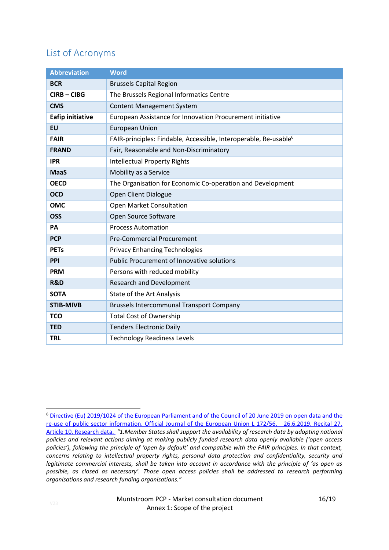# <span id="page-15-0"></span>List of Acronyms

| <b>Abbreviation</b>     | <b>Word</b>                                                                  |
|-------------------------|------------------------------------------------------------------------------|
| <b>BCR</b>              | <b>Brussels Capital Region</b>                                               |
| <b>CIRB-CIBG</b>        | The Brussels Regional Informatics Centre                                     |
| <b>CMS</b>              | <b>Content Management System</b>                                             |
| <b>Eafip initiative</b> | European Assistance for Innovation Procurement initiative                    |
| <b>EU</b>               | <b>European Union</b>                                                        |
| <b>FAIR</b>             | FAIR-principles: Findable, Accessible, Interoperable, Re-usable <sup>6</sup> |
| <b>FRAND</b>            | Fair, Reasonable and Non-Discriminatory                                      |
| <b>IPR</b>              | <b>Intellectual Property Rights</b>                                          |
| <b>MaaS</b>             | Mobility as a Service                                                        |
| <b>OECD</b>             | The Organisation for Economic Co-operation and Development                   |
| <b>OCD</b>              | Open Client Dialogue                                                         |
| <b>OMC</b>              | Open Market Consultation                                                     |
| <b>OSS</b>              | Open Source Software                                                         |
| PA                      | <b>Process Automation</b>                                                    |
| <b>PCP</b>              | <b>Pre-Commercial Procurement</b>                                            |
| <b>PETs</b>             | <b>Privacy Enhancing Technologies</b>                                        |
| PPI                     | <b>Public Procurement of Innovative solutions</b>                            |
| <b>PRM</b>              | Persons with reduced mobility                                                |
| R&D                     | <b>Research and Development</b>                                              |
| <b>SOTA</b>             | State of the Art Analysis                                                    |
| <b>STIB-MIVB</b>        | <b>Brussels Intercommunal Transport Company</b>                              |
| <b>TCO</b>              | <b>Total Cost of Ownership</b>                                               |
| <b>TED</b>              | <b>Tenders Electronic Daily</b>                                              |
| <b>TRL</b>              | <b>Technology Readiness Levels</b>                                           |

**<sup>.</sup>** <sup>6</sup> [Directive \(Eu\) 2019/1024 of the European Parliament and of the Council of 20 June 2019 on open data and the](https://eur-lex.europa.eu/legal-content/EN/TXT/PDF/?uri=CELEX:32019L1024&from=EN)  [re-use of public sector information. Official Journal of the European Union L 172/56, 26.6.2019. Recital 27.](https://eur-lex.europa.eu/legal-content/EN/TXT/PDF/?uri=CELEX:32019L1024&from=EN)  [Article 10. Research data.](https://eur-lex.europa.eu/legal-content/EN/TXT/PDF/?uri=CELEX:32019L1024&from=EN) *"1.Member States shall support the availability of research data by adopting national policies and relevant actions aiming at making publicly funded research data openly available ('open access policies'), following the principle of 'open by default' and compatible with the FAIR principles. In that context, concerns relating to intellectual property rights, personal data protection and confidentiality, security and legitimate commercial interests, shall be taken into account in accordance with the principle of 'as open as possible, as closed as necessary'. Those open access policies shall be addressed to research performing organisations and research funding organisations."*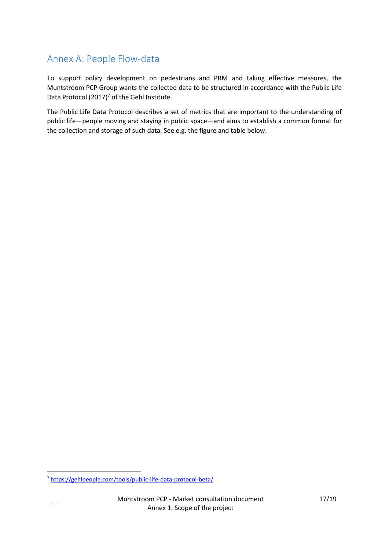# <span id="page-16-0"></span>Annex A: People Flow-data

To support policy development on pedestrians and PRM and taking effective measures, the Muntstroom PCP Group wants the collected data to be structured in accordance with the Public Life Data Protocol  $(2017)^7$  of the Gehl Institute.

The Public Life Data Protocol describes a set of metrics that are important to the understanding of public life—people moving and staying in public space—and aims to establish a common format for the collection and storage of such data. See e.g. the figure and table below.

<sup>7</sup> <https://gehlpeople.com/tools/public-life-data-protocol-beta/>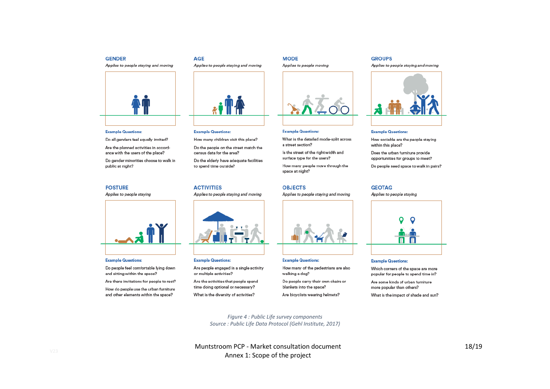#### **GENDER**

Applies to people staying and moving



#### **Example Questions:**

Do all genders feel equally invited?

Are the planned activities in accordance with the users of the place?

Do gender minorities choose to walk in public at night?

#### **POSTURE**

Applies to people staying



#### **Example Questions:**

Do people feel comfortable lying down and sitting within the space?

Are there invitations for people to rest?

How do people use the urban furniture and other elements within the space?

# Applies to people staying and moving



#### **Example Questions:**

**AGE** 

How many children visit this place?

Do the people on the street match the census data for the area?

Do the elderly have adequate facilities to spend time outside?

#### **ACTIVITIES**

Applies to people staying and moving



#### **Example Questions:**

Are people engaged in a single activity or multiple activities?

Are the activities that people spend time doing optional or necessary? What is the diversity of activities?

#### **Example Questions:**

Applies to people moving

**MODE** 

What is the detailed mode-split across a street section?

Is the street of the right width and surface type for the users?

How many people move through the space at night?

#### **OBJECTS**

Applies to people staving and moving



#### **Example Questions:**

How many of the pedestrians are also walking a dog? Do people carry their own chairs or

blankets into the space? Are bicyclists wearing helmets?

Applies to people staying and moving

#### **Example Questions:**

**GROUPS** 

How sociable are the people staying within this place?

Does the urban furniture provide opportunities for groups to meet?

Do people need space to walk in pairs?

#### **GEOTAG**

Applies to people staying



#### **Example Questions:**

Which corners of the space are more popular for people to spend time in?

Are some kinds of urban furniture more popular than others?

What is the impact of shade and sun?

*Figure 4 : Public Life survey components Source : Public Life Data Protocol (Gehl Institute, 2017)*

Muntstroom PCP - Market consultation document Annex 1: Scope of the project

18 /19